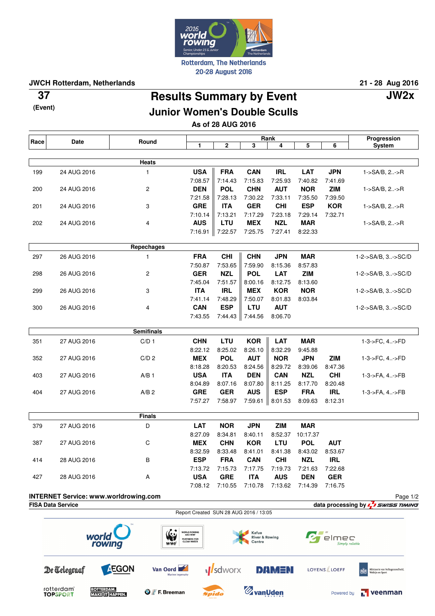

**JWCH Rotterdam, Netherlands 21 - 28 Aug 2016**

**(Event)**

**Results Summary by Event 37 JW2x Junior Women's Double Sculls**

**As of 28 AUG 2016**

| Race | Date                                                                                        | Round                                                  |                                        |                 |                       | Progression    |                       |              |                                                     |
|------|---------------------------------------------------------------------------------------------|--------------------------------------------------------|----------------------------------------|-----------------|-----------------------|----------------|-----------------------|--------------|-----------------------------------------------------|
|      |                                                                                             |                                                        | 1                                      | 2               | 3                     | 4              | 5                     | 6            | <b>System</b>                                       |
|      |                                                                                             | Heats                                                  |                                        |                 |                       |                |                       |              |                                                     |
| 199  | 24 AUG 2016                                                                                 | 1                                                      | <b>USA</b>                             | <b>FRA</b>      | <b>CAN</b>            | <b>IRL</b>     | <b>LAT</b>            | <b>JPN</b>   | 1->SA/B, 2->R                                       |
|      |                                                                                             |                                                        | 7:08.57                                | 7:14.43         | 7:15.83               | 7:25.93        | 7:40.82               | 7:41.69      |                                                     |
| 200  | 24 AUG 2016                                                                                 | $\overline{c}$                                         | <b>DEN</b>                             | <b>POL</b>      | <b>CHN</b>            | <b>AUT</b>     | <b>NOR</b>            | <b>ZIM</b>   | 1->SA/B, 2->R                                       |
|      |                                                                                             |                                                        | 7:21.58                                | 7:28.13         | 7:30.22               | 7:33.11        | 7:35.50               | 7:39.50      |                                                     |
| 201  | 24 AUG 2016                                                                                 | 3                                                      | <b>GRE</b>                             | <b>ITA</b>      | <b>GER</b>            | <b>CHI</b>     | <b>ESP</b>            | <b>KOR</b>   | 1->SA/B, 2->R                                       |
|      |                                                                                             |                                                        | 7:10.14                                | 7:13.21         | 7:17.29               | 7:23.18        | 7:29.14               | 7:32.71      |                                                     |
| 202  | 24 AUG 2016                                                                                 | 4                                                      | <b>AUS</b>                             | LTU             | <b>MEX</b>            | <b>NZL</b>     | <b>MAR</b>            |              | $1 - S A/B$ , $2 - S R$                             |
|      |                                                                                             |                                                        | 7:16.91                                | 7:22.57         | 7:25.75               | 7:27.41        | 8:22.33               |              |                                                     |
|      |                                                                                             | Repechages                                             |                                        |                 |                       |                |                       |              |                                                     |
| 297  | 26 AUG 2016                                                                                 | 1                                                      | <b>FRA</b>                             | <b>CHI</b>      | <b>CHN</b>            | <b>JPN</b>     | <b>MAR</b>            |              | 1-2->SA/B, 3->SC/D                                  |
|      |                                                                                             |                                                        | 7:50.87                                | 7:53.65         | 7:59.90               | 8:15.36        | 8:57.83               |              |                                                     |
| 298  | 26 AUG 2016                                                                                 | 2                                                      | <b>GER</b>                             | <b>NZL</b>      | <b>POL</b>            | <b>LAT</b>     | <b>ZIM</b>            |              | 1-2->SA/B, 3->SC/D                                  |
|      |                                                                                             |                                                        | 7:45.04                                | 7:51.57         | 8:00.16               | 8:12.75        | 8:13.60               |              |                                                     |
| 299  | 26 AUG 2016                                                                                 | 3                                                      | <b>ITA</b>                             | <b>IRL</b>      | <b>MEX</b>            | <b>KOR</b>     | <b>NOR</b>            |              | 1-2->SA/B, 3->SC/D                                  |
|      |                                                                                             |                                                        | 7:41.14                                | 7:48.29         | 7:50.07               | 8:01.83        | 8:03.84               |              |                                                     |
| 300  | 26 AUG 2016                                                                                 | 4                                                      | <b>CAN</b>                             | <b>ESP</b>      | <b>LTU</b>            | <b>AUT</b>     |                       |              | 1-2->SA/B, 3->SC/D                                  |
|      |                                                                                             |                                                        | 7:43.55                                |                 | 7:44.43 7:44.56       | 8:06.70        |                       |              |                                                     |
|      |                                                                                             | <b>Semifinals</b>                                      |                                        |                 |                       |                |                       |              |                                                     |
|      |                                                                                             |                                                        |                                        |                 |                       |                |                       |              |                                                     |
| 351  | 27 AUG 2016                                                                                 | C/D <sub>1</sub>                                       | <b>CHN</b><br>8:22.12                  | LTU<br>8:25.02  | <b>KOR</b><br>8:26.10 | LAT<br>8:32.29 | <b>MAR</b><br>9:45.88 |              | 1-3->FC, 4->FD                                      |
| 352  | 27 AUG 2016                                                                                 | C/D <sub>2</sub>                                       | <b>MEX</b>                             | <b>POL</b>      | <b>AUT</b>            | <b>NOR</b>     | <b>JPN</b>            | <b>ZIM</b>   | 1-3->FC, 4->FD                                      |
|      |                                                                                             |                                                        | 8:18.28                                | 8:20.53         | 8:24.56               | 8:29.72        | 8:39.06               | 8:47.36      |                                                     |
| 403  | 27 AUG 2016                                                                                 | $A/B$ 1                                                | <b>USA</b>                             | <b>ITA</b>      | <b>DEN</b>            | <b>CAN</b>     | <b>NZL</b>            | <b>CHI</b>   | 1-3->FA, 4->FB                                      |
|      |                                                                                             |                                                        | 8:04.89                                | 8:07.16         | 8:07.80               | 8:11.25        | 8:17.70               | 8:20.48      |                                                     |
| 404  | 27 AUG 2016                                                                                 | A/B <sub>2</sub>                                       | <b>GRE</b>                             | <b>GER</b>      | <b>AUS</b>            | <b>ESP</b>     | <b>FRA</b>            | <b>IRL</b>   | 1-3->FA, 4->FB                                      |
|      |                                                                                             |                                                        | 7:57.27                                | 7:58.97         | 7:59.61               | 8:01.53        | 8:09.63               | 8:12.31      |                                                     |
|      |                                                                                             |                                                        |                                        |                 |                       |                |                       |              |                                                     |
| 379  | 27 AUG 2016                                                                                 | <b>Finals</b><br>D                                     | <b>LAT</b>                             | <b>NOR</b>      | <b>JPN</b>            | <b>ZIM</b>     | <b>MAR</b>            |              |                                                     |
|      |                                                                                             |                                                        | 8:27.09                                | 8:34.81         | 8:40.11               | 8:52.37        | 10:17.37              |              |                                                     |
| 387  | 27 AUG 2016                                                                                 | C                                                      | <b>MEX</b>                             | <b>CHN</b>      | <b>KOR</b>            | <b>LTU</b>     | <b>POL</b>            | <b>AUT</b>   |                                                     |
|      |                                                                                             |                                                        | 8:32.59                                | 8:33.48         | 8:41.01               | 8:41.38        | 8:43.02               | 8:53.67      |                                                     |
| 414  | 28 AUG 2016                                                                                 | В                                                      | <b>ESP</b>                             | <b>FRA</b>      | <b>CAN</b>            | <b>CHI</b>     | <b>NZL</b>            | <b>IRL</b>   |                                                     |
|      |                                                                                             |                                                        | 7:13.72                                | 7:15.73         | 7:17.75               | 7:19.73        | 7:21.63               | 7:22.68      |                                                     |
| 427  | 28 AUG 2016                                                                                 | Α                                                      | <b>USA</b>                             | <b>GRE</b>      | <b>ITA</b>            | <b>AUS</b>     | <b>DEN</b>            | <b>GER</b>   |                                                     |
|      |                                                                                             |                                                        | 7:08.12                                | 7:10.55         | 7:10.78               | 7:13.62        | 7:14.39               | 7:16.75      |                                                     |
|      | <b>INTERNET Service: www.worldrowing.com</b>                                                |                                                        |                                        |                 |                       |                |                       |              | Page 1/2                                            |
|      | <b>FISA Data Service</b>                                                                    |                                                        |                                        |                 |                       |                |                       |              | data processing by $\sqrt{2}$ swiss TIMING          |
|      |                                                                                             |                                                        | Report Created SUN 28 AUG 2016 / 13:05 |                 |                       |                |                       |              |                                                     |
|      |                                                                                             |                                                        |                                        |                 |                       |                |                       |              |                                                     |
|      | <b>WORLD ROWING</b><br>Kafue<br>AND WWF<br><b>River &amp; Rowing</b><br><b>PARTNERS FOR</b> |                                                        |                                        |                 |                       |                |                       | elmec        |                                                     |
|      | world<br>rowing<br><b>CLEAN WATER</b><br>Centre<br>Simply reliable<br>WWF                   |                                                        |                                        |                 |                       |                |                       |              |                                                     |
|      |                                                                                             |                                                        |                                        |                 |                       |                |                       |              |                                                     |
|      |                                                                                             |                                                        |                                        |                 |                       |                |                       |              |                                                     |
|      | De Telegraaf                                                                                | <b>AEGON</b><br>Van Oord<br>Marine ingenuit            |                                        | <b>M</b> sdworx |                       | <b>DAMEN</b>   |                       | LOYENS LOEFF | Ministerie van Volksgezondheid,<br>Welzijn en Sport |
|      |                                                                                             |                                                        |                                        |                 |                       |                |                       |              |                                                     |
|      | rotterdam <sup>®</sup><br><b>ROTTERDAM.</b><br><b>TOPSPORT</b>                              | <b>O</b> <i>[</i> F. Breeman<br><b>MAKE IT HAPPEN.</b> |                                        | <b>Spido</b>    | <b>ZvanUden</b>       |                |                       | Powered by   | <b>Veenman</b>                                      |